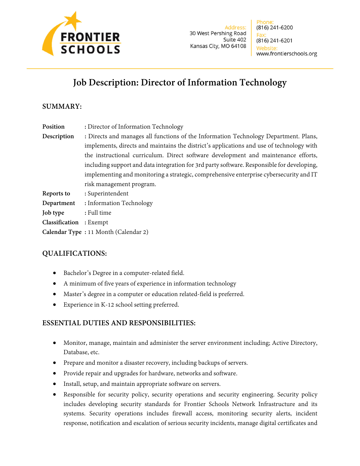

# **Job Description: Director of Information Technology**

## **SUMMARY:**

| Position       | : Director of Information Technology                                                       |
|----------------|--------------------------------------------------------------------------------------------|
| Description    | : Directs and manages all functions of the Information Technology Department. Plans,       |
|                | implements, directs and maintains the district's applications and use of technology with   |
|                | the instructional curriculum. Direct software development and maintenance efforts,         |
|                | including support and data integration for 3rd party software. Responsible for developing, |
|                | implementing and monitoring a strategic, comprehensive enterprise cybersecurity and IT     |
|                | risk management program.                                                                   |
| Reports to     | : Superintendent                                                                           |
| Department     | : Information Technology                                                                   |
| Job type       | : Full time                                                                                |
| Classification | $:$ Exempt                                                                                 |
|                | Calendar Type: 11 Month (Calendar 2)                                                       |

## **QUALIFICATIONS:**

- Bachelor's Degree in a computer-related field.
- A minimum of five years of experience in information technology
- Master's degree in a computer or education related-field is preferred.
- Experience in K-12 school setting preferred.

## **ESSENTIAL DUTIES AND RESPONSIBILITIES:**

- Monitor, manage, maintain and administer the server environment including; Active Directory, Database, etc.
- Prepare and monitor a disaster recovery, including backups of servers.
- Provide repair and upgrades for hardware, networks and software.
- Install, setup, and maintain appropriate software on servers.
- Responsible for security policy, security operations and security engineering. Security policy includes developing security standards for Frontier Schools Network Infrastructure and its systems. Security operations includes firewall access, monitoring security alerts, incident response, notification and escalation of serious security incidents, manage digital certificates and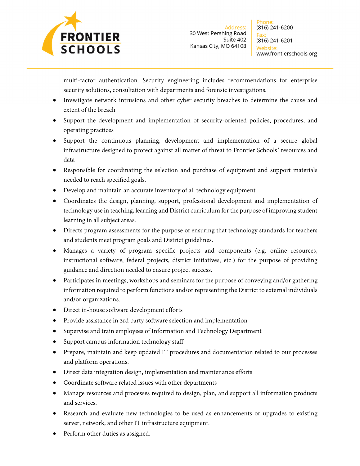

multi-factor authentication. Security engineering includes recommendations for enterprise security solutions, consultation with departments and forensic investigations.

- Investigate network intrusions and other cyber security breaches to determine the cause and extent of the breach
- Support the development and implementation of security-oriented policies, procedures, and operating practices
- Support the continuous planning, development and implementation of a secure global infrastructure designed to protect against all matter of threat to Frontier Schools' resources and data
- Responsible for coordinating the selection and purchase of equipment and support materials needed to reach specified goals.
- Develop and maintain an accurate inventory of all technology equipment.
- Coordinates the design, planning, support, professional development and implementation of technology use in teaching, learning and District curriculum for the purpose of improving student learning in all subject areas.
- Directs program assessments for the purpose of ensuring that technology standards for teachers and students meet program goals and District guidelines.
- Manages a variety of program specific projects and components (e.g. online resources, instructional software, federal projects, district initiatives, etc.) for the purpose of providing guidance and direction needed to ensure project success.
- Participates in meetings, workshops and seminars for the purpose of conveying and/or gathering information required to perform functions and/or representing the District to external individuals and/or organizations.
- Direct in-house software development efforts
- Provide assistance in 3rd party software selection and implementation
- Supervise and train employees of Information and Technology Department
- Support campus information technology staff
- Prepare, maintain and keep updated IT procedures and documentation related to our processes and platform operations.
- Direct data integration design, implementation and maintenance efforts
- Coordinate software related issues with other departments
- Manage resources and processes required to design, plan, and support all information products and services.
- Research and evaluate new technologies to be used as enhancements or upgrades to existing server, network, and other IT infrastructure equipment.
- Perform other duties as assigned.